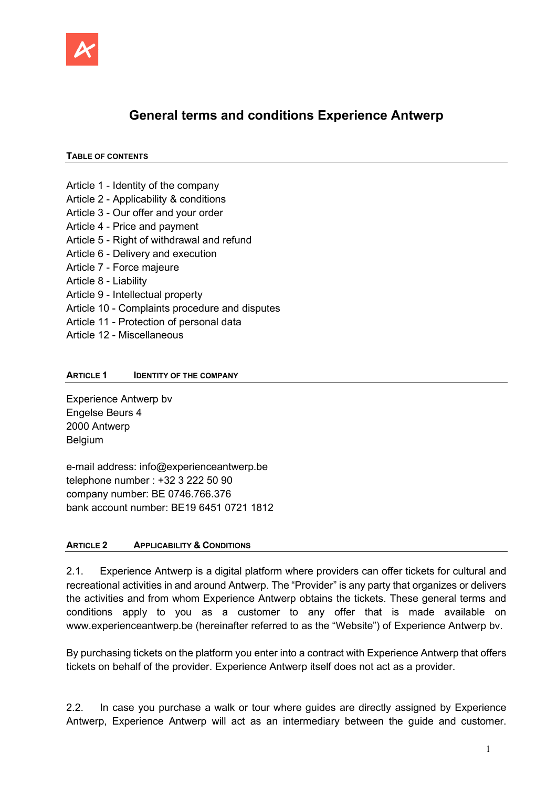

# General terms and conditions Experience Antwerp

#### TABLE OF CONTENTS

- Article 1 Identity of the company
- Article 2 Applicability & conditions
- Article 3 Our offer and your order
- Article 4 Price and payment
- Article 5 Right of withdrawal and refund
- Article 6 Delivery and execution
- Article 7 Force majeure
- Article 8 Liability
- Article 9 Intellectual property
- Article 10 Complaints procedure and disputes
- Article 11 Protection of personal data
- Article 12 Miscellaneous

#### ARTICLE 1 **IDENTITY OF THE COMPANY**

Experience Antwerp bv Engelse Beurs 4 2000 Antwerp Belgium

e-mail address: info@experienceantwerp.be telephone number : +32 3 222 50 90 company number: BE 0746.766.376 bank account number: BE19 6451 0721 1812

#### ARTICLE 2 APPLICABILITY & CONDITIONS

2.1. Experience Antwerp is a digital platform where providers can offer tickets for cultural and recreational activities in and around Antwerp. The "Provider" is any party that organizes or delivers the activities and from whom Experience Antwerp obtains the tickets. These general terms and conditions apply to you as a customer to any offer that is made available on www.experienceantwerp.be (hereinafter referred to as the "Website") of Experience Antwerp bv.

By purchasing tickets on the platform you enter into a contract with Experience Antwerp that offers tickets on behalf of the provider. Experience Antwerp itself does not act as a provider.

2.2. In case you purchase a walk or tour where guides are directly assigned by Experience Antwerp, Experience Antwerp will act as an intermediary between the guide and customer.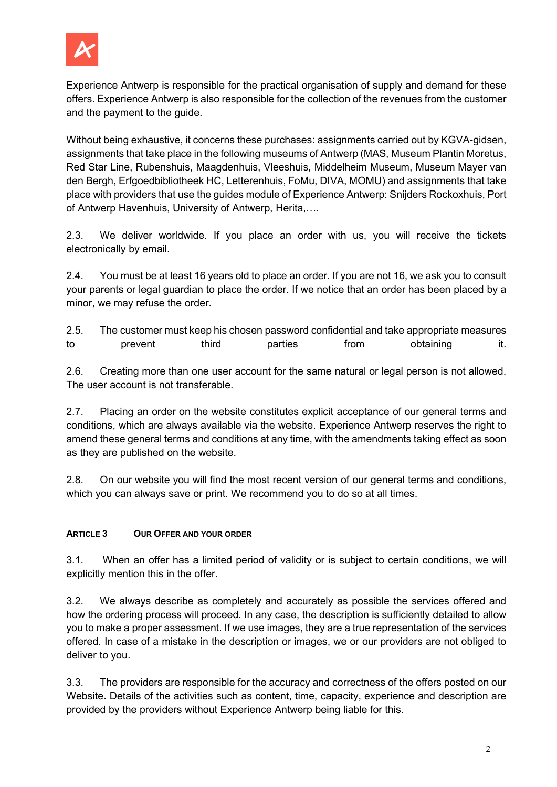

Experience Antwerp is responsible for the practical organisation of supply and demand for these offers. Experience Antwerp is also responsible for the collection of the revenues from the customer and the payment to the guide.

Without being exhaustive, it concerns these purchases: assignments carried out by KGVA-gidsen, assignments that take place in the following museums of Antwerp (MAS, Museum Plantin Moretus, Red Star Line, Rubenshuis, Maagdenhuis, Vleeshuis, Middelheim Museum, Museum Mayer van den Bergh, Erfgoedbibliotheek HC, Letterenhuis, FoMu, DIVA, MOMU) and assignments that take place with providers that use the guides module of Experience Antwerp: Snijders Rockoxhuis, Port of Antwerp Havenhuis, University of Antwerp, Herita,….

2.3. We deliver worldwide. If you place an order with us, you will receive the tickets electronically by email.

2.4. You must be at least 16 years old to place an order. If you are not 16, we ask you to consult your parents or legal guardian to place the order. If we notice that an order has been placed by a minor, we may refuse the order.

2.5. The customer must keep his chosen password confidential and take appropriate measures to prevent third parties from obtaining it.

2.6. Creating more than one user account for the same natural or legal person is not allowed. The user account is not transferable.

2.7. Placing an order on the website constitutes explicit acceptance of our general terms and conditions, which are always available via the website. Experience Antwerp reserves the right to amend these general terms and conditions at any time, with the amendments taking effect as soon as they are published on the website.

2.8. On our website you will find the most recent version of our general terms and conditions, which you can always save or print. We recommend you to do so at all times.

# ARTICLE 3 OUR OFFER AND YOUR ORDER

3.1. When an offer has a limited period of validity or is subject to certain conditions, we will explicitly mention this in the offer.

3.2. We always describe as completely and accurately as possible the services offered and how the ordering process will proceed. In any case, the description is sufficiently detailed to allow you to make a proper assessment. If we use images, they are a true representation of the services offered. In case of a mistake in the description or images, we or our providers are not obliged to deliver to you.

3.3. The providers are responsible for the accuracy and correctness of the offers posted on our Website. Details of the activities such as content, time, capacity, experience and description are provided by the providers without Experience Antwerp being liable for this.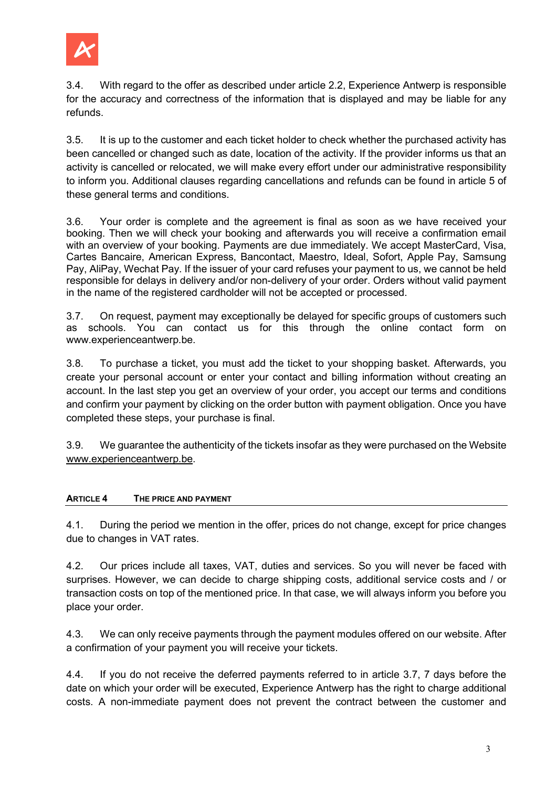

3.4. With regard to the offer as described under article 2.2, Experience Antwerp is responsible for the accuracy and correctness of the information that is displayed and may be liable for any refunds.

3.5. It is up to the customer and each ticket holder to check whether the purchased activity has been cancelled or changed such as date, location of the activity. If the provider informs us that an activity is cancelled or relocated, we will make every effort under our administrative responsibility to inform you. Additional clauses regarding cancellations and refunds can be found in article 5 of these general terms and conditions.

3.6. Your order is complete and the agreement is final as soon as we have received your booking. Then we will check your booking and afterwards you will receive a confirmation email with an overview of your booking. Payments are due immediately. We accept MasterCard, Visa, Cartes Bancaire, American Express, Bancontact, Maestro, Ideal, Sofort, Apple Pay, Samsung Pay, AliPay, Wechat Pay. If the issuer of your card refuses your payment to us, we cannot be held responsible for delays in delivery and/or non-delivery of your order. Orders without valid payment in the name of the registered cardholder will not be accepted or processed.

3.7. On request, payment may exceptionally be delayed for specific groups of customers such as schools. You can contact us for this through the online contact form on www.experienceantwerp.be.

3.8. To purchase a ticket, you must add the ticket to your shopping basket. Afterwards, you create your personal account or enter your contact and billing information without creating an account. In the last step you get an overview of your order, you accept our terms and conditions and confirm your payment by clicking on the order button with payment obligation. Once you have completed these steps, your purchase is final.

3.9. We guarantee the authenticity of the tickets insofar as they were purchased on the Website www.experienceantwerp.be.

# ARTICLE 4 THE PRICE AND PAYMENT

4.1. During the period we mention in the offer, prices do not change, except for price changes due to changes in VAT rates.

4.2. Our prices include all taxes, VAT, duties and services. So you will never be faced with surprises. However, we can decide to charge shipping costs, additional service costs and / or transaction costs on top of the mentioned price. In that case, we will always inform you before you place your order.

4.3. We can only receive payments through the payment modules offered on our website. After a confirmation of your payment you will receive your tickets.

4.4. If you do not receive the deferred payments referred to in article 3.7, 7 days before the date on which your order will be executed, Experience Antwerp has the right to charge additional costs. A non-immediate payment does not prevent the contract between the customer and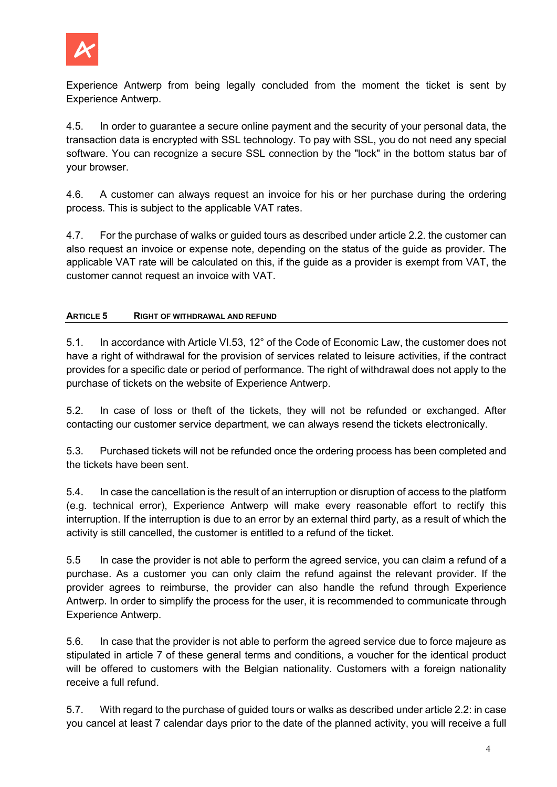

Experience Antwerp from being legally concluded from the moment the ticket is sent by Experience Antwerp.

4.5. In order to guarantee a secure online payment and the security of your personal data, the transaction data is encrypted with SSL technology. To pay with SSL, you do not need any special software. You can recognize a secure SSL connection by the "lock" in the bottom status bar of your browser.

4.6. A customer can always request an invoice for his or her purchase during the ordering process. This is subject to the applicable VAT rates.

4.7. For the purchase of walks or guided tours as described under article 2.2. the customer can also request an invoice or expense note, depending on the status of the guide as provider. The applicable VAT rate will be calculated on this, if the guide as a provider is exempt from VAT, the customer cannot request an invoice with VAT.

### ARTICLE 5 RIGHT OF WITHDRAWAL AND REFUND

5.1. In accordance with Article VI.53, 12° of the Code of Economic Law, the customer does not have a right of withdrawal for the provision of services related to leisure activities, if the contract provides for a specific date or period of performance. The right of withdrawal does not apply to the purchase of tickets on the website of Experience Antwerp.

5.2. In case of loss or theft of the tickets, they will not be refunded or exchanged. After contacting our customer service department, we can always resend the tickets electronically.

5.3. Purchased tickets will not be refunded once the ordering process has been completed and the tickets have been sent.

5.4. In case the cancellation is the result of an interruption or disruption of access to the platform (e.g. technical error), Experience Antwerp will make every reasonable effort to rectify this interruption. If the interruption is due to an error by an external third party, as a result of which the activity is still cancelled, the customer is entitled to a refund of the ticket.

5.5 In case the provider is not able to perform the agreed service, you can claim a refund of a purchase. As a customer you can only claim the refund against the relevant provider. If the provider agrees to reimburse, the provider can also handle the refund through Experience Antwerp. In order to simplify the process for the user, it is recommended to communicate through Experience Antwerp.

5.6. In case that the provider is not able to perform the agreed service due to force majeure as stipulated in article 7 of these general terms and conditions, a voucher for the identical product will be offered to customers with the Belgian nationality. Customers with a foreign nationality receive a full refund.

5.7. With regard to the purchase of guided tours or walks as described under article 2.2: in case you cancel at least 7 calendar days prior to the date of the planned activity, you will receive a full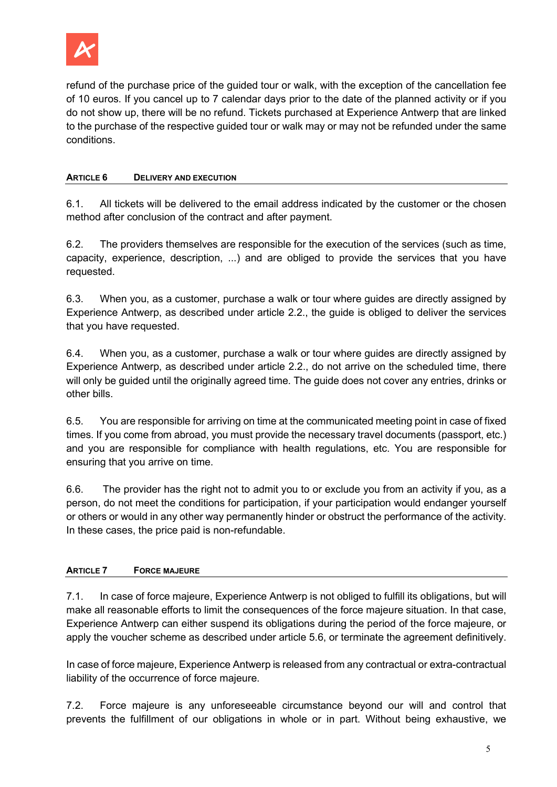

refund of the purchase price of the guided tour or walk, with the exception of the cancellation fee of 10 euros. If you cancel up to 7 calendar days prior to the date of the planned activity or if you do not show up, there will be no refund. Tickets purchased at Experience Antwerp that are linked to the purchase of the respective guided tour or walk may or may not be refunded under the same conditions.

### ARTICLE 6 DELIVERY AND EXECUTION

6.1. All tickets will be delivered to the email address indicated by the customer or the chosen method after conclusion of the contract and after payment.

6.2. The providers themselves are responsible for the execution of the services (such as time, capacity, experience, description, ...) and are obliged to provide the services that you have requested.

6.3. When you, as a customer, purchase a walk or tour where guides are directly assigned by Experience Antwerp, as described under article 2.2., the guide is obliged to deliver the services that you have requested.

6.4. When you, as a customer, purchase a walk or tour where guides are directly assigned by Experience Antwerp, as described under article 2.2., do not arrive on the scheduled time, there will only be guided until the originally agreed time. The guide does not cover any entries, drinks or other bills.

6.5. You are responsible for arriving on time at the communicated meeting point in case of fixed times. If you come from abroad, you must provide the necessary travel documents (passport, etc.) and you are responsible for compliance with health regulations, etc. You are responsible for ensuring that you arrive on time.

6.6. The provider has the right not to admit you to or exclude you from an activity if you, as a person, do not meet the conditions for participation, if your participation would endanger yourself or others or would in any other way permanently hinder or obstruct the performance of the activity. In these cases, the price paid is non-refundable.

# ARTICLE 7 FORCE MAJEURE

7.1. In case of force majeure, Experience Antwerp is not obliged to fulfill its obligations, but will make all reasonable efforts to limit the consequences of the force majeure situation. In that case, Experience Antwerp can either suspend its obligations during the period of the force majeure, or apply the voucher scheme as described under article 5.6, or terminate the agreement definitively.

In case of force majeure, Experience Antwerp is released from any contractual or extra-contractual liability of the occurrence of force majeure.

7.2. Force majeure is any unforeseeable circumstance beyond our will and control that prevents the fulfillment of our obligations in whole or in part. Without being exhaustive, we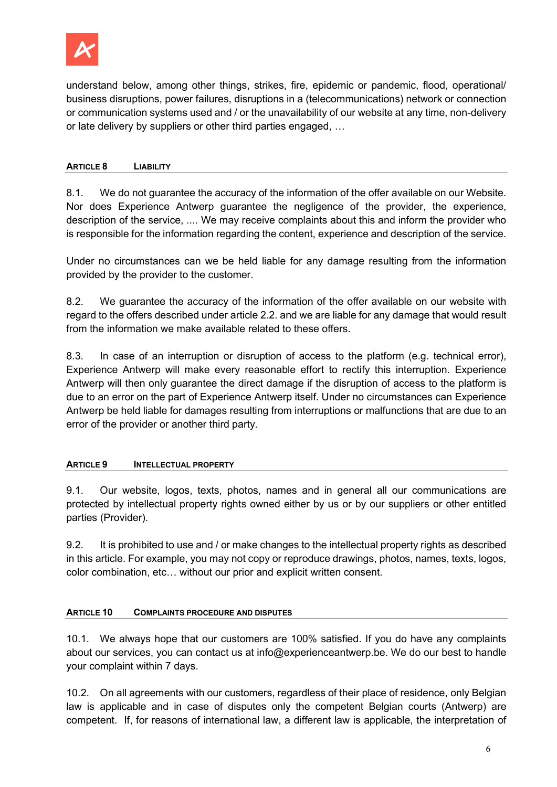

understand below, among other things, strikes, fire, epidemic or pandemic, flood, operational/ business disruptions, power failures, disruptions in a (telecommunications) network or connection or communication systems used and / or the unavailability of our website at any time, non-delivery or late delivery by suppliers or other third parties engaged, …

### ARTICLE 8 LIABILITY

8.1. We do not guarantee the accuracy of the information of the offer available on our Website. Nor does Experience Antwerp guarantee the negligence of the provider, the experience, description of the service, .... We may receive complaints about this and inform the provider who is responsible for the information regarding the content, experience and description of the service.

Under no circumstances can we be held liable for any damage resulting from the information provided by the provider to the customer.

8.2. We guarantee the accuracy of the information of the offer available on our website with regard to the offers described under article 2.2. and we are liable for any damage that would result from the information we make available related to these offers.

8.3. In case of an interruption or disruption of access to the platform (e.g. technical error), Experience Antwerp will make every reasonable effort to rectify this interruption. Experience Antwerp will then only guarantee the direct damage if the disruption of access to the platform is due to an error on the part of Experience Antwerp itself. Under no circumstances can Experience Antwerp be held liable for damages resulting from interruptions or malfunctions that are due to an error of the provider or another third party.

#### ARTICLE 9 **INTELLECTUAL PROPERTY**

9.1. Our website, logos, texts, photos, names and in general all our communications are protected by intellectual property rights owned either by us or by our suppliers or other entitled parties (Provider).

9.2. It is prohibited to use and / or make changes to the intellectual property rights as described in this article. For example, you may not copy or reproduce drawings, photos, names, texts, logos, color combination, etc… without our prior and explicit written consent.

#### ARTICLE 10 COMPLAINTS PROCEDURE AND DISPUTES

10.1. We always hope that our customers are 100% satisfied. If you do have any complaints about our services, you can contact us at info@experienceantwerp.be. We do our best to handle your complaint within 7 days.

10.2. On all agreements with our customers, regardless of their place of residence, only Belgian law is applicable and in case of disputes only the competent Belgian courts (Antwerp) are competent. If, for reasons of international law, a different law is applicable, the interpretation of